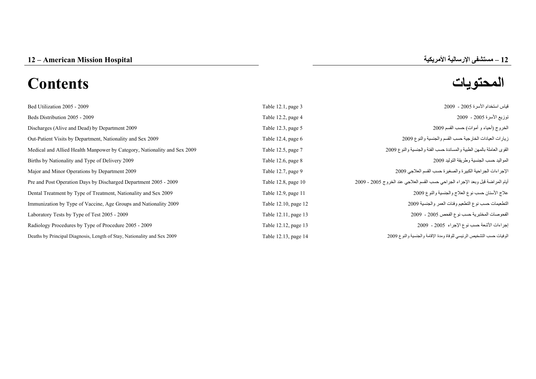# **المحتويات Contents**

| قياس استخدام الأسرة 2005 - 2009                                                | Table 12.1, page 3   | Bed Utilization 2005 - 2009                                              |
|--------------------------------------------------------------------------------|----------------------|--------------------------------------------------------------------------|
| توزيع الأسرة 2005 - 2009                                                       | Table 12.2, page 4   | Beds Distribution 2005 - 2009                                            |
| الخروج (أحياء و أموات) حسب القسم 2009                                          | Table 12.3, page 5   | Discharges (Alive and Dead) by Department 2009                           |
| زيارات العيادات الخارجية حسب القسم والجنسية والنوع 2009                        | Table 12.4, page $6$ | Out-Patient Visits by Department, Nationality and Sex 2009               |
| القوى العاملة بالمهن الطبية والمساندة حسب الفئة والجنسية والنوع 2009           | Table 12.5, page 7   | Medical and Allied Health Manpower by Category, Nationality and Sex 2009 |
| المو اليد حسب الجنسية وطر يقة التوليد 2009                                     | Table 12.6, page 8   | Births by Nationality and Type of Delivery 2009                          |
| الإجراءات الجراحية الكبيرة والصغيرة حسب القسم العلاجي 2009                     | Table 12.7, page 9   | Major and Minor Operations by Department 2009                            |
| أيام المراضة قبل وبعد الإجراء الجراحي حسب القسم العلاجي عند الخروج 2005 - 2009 | Table 12.8, page 10  | Pre and Post Operation Days by Discharged Department 2005 - 2009         |
| علاج الأسنان حسب نوع العلاج والجنسية والنوع 2009                               | Table 12.9, page 11  | Dental Treatment by Type of Treatment, Nationality and Sex 2009          |
| التطعيمات حسب نوع التطعيم وفئات العمر والجنسية 2009                            | Table 12.10, page 12 | Immunization by Type of Vaccine, Age Groups and Nationality 2009         |
| الفحوصات المختبرية حسب نوع الفحص 2005 - 2009                                   | Table 12.11, page 13 | Laboratory Tests by Type of Test 2005 - 2009                             |
| إجراءات الأشعة حسب نوع الإجراء 2005 - 2009                                     | Table 12.12, page 13 | Radiology Procedures by Type of Procedure 2005 - 2009                    |
| الوفيات حسب التشخيص الرئيسي للوفاة ومدة الإقامة والجنسية والنوع 2009           | Table 12.13, page 14 | Deaths by Principal Diagnosis, Length of Stay, Nationality and Sex 2009  |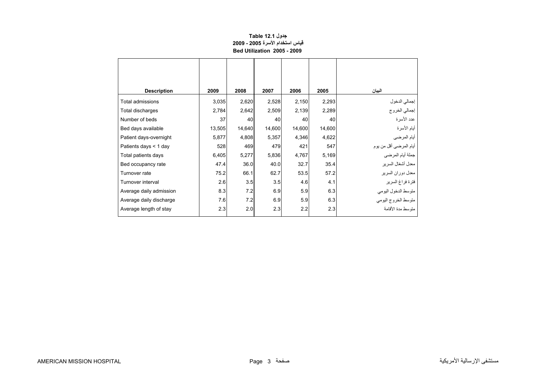## **جدول 12.1 Table قياس استخدام الأسرة 2005 - 2009 Bed Utilization 2005 - 2009**

<span id="page-1-0"></span>

| <b>Description</b>      | 2009   | 2008   | 2007   | 2006   | 2005   | البيان                  |
|-------------------------|--------|--------|--------|--------|--------|-------------------------|
| Total admissions        | 3,035  | 2,620  | 2,528  | 2,150  | 2,293  | إجمالي الدخول           |
| Total discharges        | 2,784  | 2,642  | 2,509  | 2,139  | 2,289  | إجمالي الخروج           |
| Number of beds          | 37     | 40     | 40     | 40     | 40     | عدد الأسرة              |
| Bed days available      | 13,505 | 14,640 | 14,600 | 14,600 | 14,600 | أيام الأسرة             |
| Patient days-overnight  | 5,877  | 4,808  | 5,357  | 4,346  | 4,622  | أيام المرضى             |
| Patients days $<$ 1 day | 528    | 469    | 479    | 421    | 547    | أيام المرضىي أقل من يوم |
| Total patients days     | 6,405  | 5,277  | 5,836  | 4,767  | 5,169  | جملة أيام المرضي        |
| Bed occupancy rate      | 47.4   | 36.0   | 40.0   | 32.7   | 35.4   | معدل أشغال السرير       |
| Turnover rate           | 75.2   | 66.1   | 62.7   | 53.5   | 57.2   | معدل دوران السرير       |
| Turnover interval       | 2.6    | 3.5    | 3.5    | 4.6    | 4.1    | فترة فراغ السرير        |
| Average daily admission | 8.3    | 7.2    | 6.9    | 5.9    | 6.3    | متوسط الدخول اليومي     |
| Average daily discharge | 7.6    | 7.2    | 6.9    | 5.9    | 6.3    | متوسط الخروج اليومي     |
| Average length of stay  | 2.3    | 2.0    | 2.3    | 2.2    | 2.3    | متوسط مدة الأقامة       |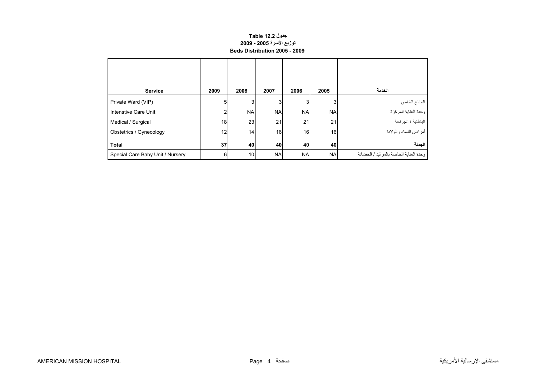#### **جدول 12.2 Table توزيع الأسرة 2005 - 2009 Beds Distribution 2005 - 2009**

<span id="page-2-0"></span>

| <b>Service</b>                   | 2009           | 2008      | 2007      | 2006      | 2005      | الخدمة                                   |
|----------------------------------|----------------|-----------|-----------|-----------|-----------|------------------------------------------|
| Private Ward (VIP)               | 5 <sup>1</sup> | 3         | 3         | 3         | 3         | الجناح الخاص                             |
| Intenstive Care Unit             | 2              | <b>NA</b> | <b>NA</b> | <b>NA</b> | <b>NA</b> | وحدة العناية المركزة                     |
| Medical / Surgical               | 18             | 23        | 21        | 21        | 21        | الباطنية / الجراحة                       |
| Obstetrics / Gynecology          | 12             | 14        | 16        | 16        | 16        | أمراض النساء والولادة                    |
| <b>Total</b>                     | 37             | 40        | 40        | 40        | 40        | الجملة                                   |
| Special Care Baby Unit / Nursery | 6              | 10        | <b>NA</b> | <b>NA</b> | <b>NA</b> | وحدة العناية الخاصة بالمو اليد / الحضانة |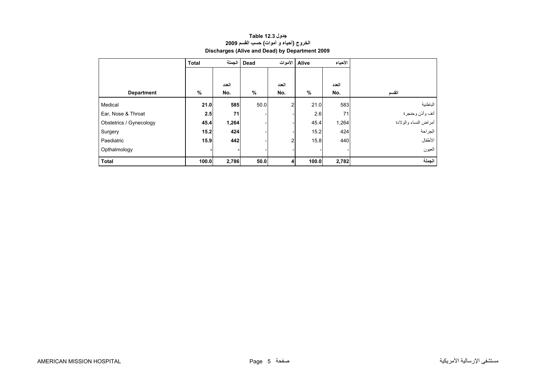## **جدول 12.3 Table الخروج (أحياء <sup>و</sup> أموات) حسب القسم <sup>2009</sup> Discharges (Alive and Dead) by Department 2009**

<span id="page-3-0"></span>

|                         | <b>Total</b> |       | Dead   الجملة |                | الأحياء<br>Alive الأموات |       |                       |
|-------------------------|--------------|-------|---------------|----------------|--------------------------|-------|-----------------------|
|                         |              |       |               |                |                          |       |                       |
|                         |              | العدد |               | العدد          |                          | العدد |                       |
| <b>Department</b>       | %            | No.   | %             | No.            | %                        | No.   | القسم                 |
| Medical                 | 21.0         | 585   | 50.0          | $\overline{2}$ | 21.0                     | 583   | الباطنية              |
| Ear, Nose & Throat      | 2.5          | 71    |               |                | 2.6                      | 71    | أنف وأذن وحنجرة       |
| Obstetrics / Gynecology | 45.4         | 1,264 |               |                | 45.4                     | 1,264 | أمراض النساء والولادة |
| Surgery                 | 15.2         | 424   |               |                | 15.2                     | 424   | الجراحة               |
| Paediatric              | 15.9         | 442   |               | 2              | 15.8                     | 440   | الأطفال               |
| Opthalmology            |              |       |               |                |                          |       | العيون                |
| <b>Total</b>            | 100.0        | 2,786 | 50.0          | 4              | 100.0                    | 2,782 | الجملة                |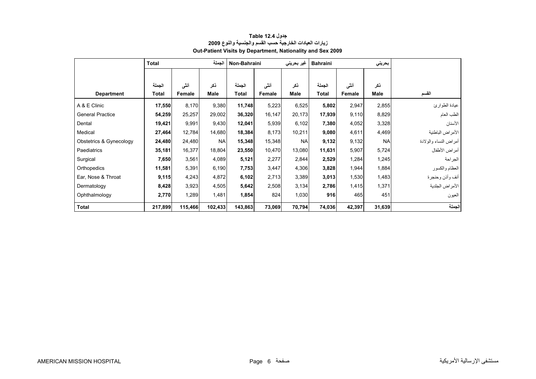<span id="page-4-0"></span>

|                         | <b>Total</b> |         | الجملة    | Non-Bahraini |        | غير بحريني  | <b>Bahraini</b> |        | بحريني      |                       |
|-------------------------|--------------|---------|-----------|--------------|--------|-------------|-----------------|--------|-------------|-----------------------|
|                         |              |         |           |              |        |             |                 |        |             |                       |
|                         | الجملة       | أنشى    | ذكر       | الجملة       | أنشى   | ذكر         | الجملة          | أنشى   | ذكر         |                       |
| <b>Department</b>       | Total        | Female  | Male      | <b>Total</b> | Female | <b>Male</b> | <b>Total</b>    | Female | <b>Male</b> | القسم                 |
| A & E Clinic            | 17,550       | 8,170   | 9,380     | 11,748       | 5,223  | 6,525       | 5,802           | 2,947  | 2,855       | عيادة الطوارئ         |
| <b>General Practice</b> | 54,259       | 25,257  | 29,002    | 36,320       | 16,147 | 20,173      | 17,939          | 9,110  | 8,829       | الطب العام            |
| Dental                  | 19,421       | 9,991   | 9,430     | 12,041       | 5,939  | 6,102       | 7,380           | 4,052  | 3,328       | الأسنان               |
| Medical                 | 27,464       | 12,784  | 14,680    | 18,384       | 8,173  | 10,211      | 9,080           | 4,611  | 4,469       | الأمراض الباطنية      |
| Obstetrics & Gynecology | 24,480       | 24,480  | <b>NA</b> | 15,348       | 15,348 | <b>NA</b>   | 9,132           | 9,132  | <b>NA</b>   | أمراض النساء والولادة |
| Paediatrics             | 35,181       | 16,377  | 18,804    | 23,550       | 10,470 | 13,080      | 11,631          | 5,907  | 5,724       | أمراض الأطفال         |
| Surgical                | 7,650        | 3,561   | 4,089     | 5,121        | 2,277  | 2,844       | 2,529           | 1,284  | 1,245       | الجراحة               |
| Orthopedics             | 11,581       | 5,391   | 6,190     | 7,753        | 3,447  | 4,306       | 3,828           | 1,944  | 1,884       | العظام والكسور        |
| Ear, Nose & Throat      | 9,115        | 4,243   | 4,872     | 6,102        | 2,713  | 3,389       | 3,013           | 1,530  | 1,483       | أنف وأذن وحنجرة       |
| Dermatology             | 8,428        | 3,923   | 4,505     | 5,642        | 2,508  | 3,134       | 2,786           | 1,415  | 1,371       | الأمراض الجلدية       |
| Ophthalmology           | 2,770        | 1,289   | 1,481     | 1,854        | 824    | 1,030       | 916             | 465    | 451         | العيون                |
| <b>Total</b>            | 217,899      | 115,466 | 102,433   | 143,863      | 73,069 | 70,794      | 74,036          | 42,397 | 31,639      | الجملة                |

#### **جدول 12.4 Table زيارات العيادات الخارجية حسب القسم والجنسية والنوع <sup>2009</sup> Out-Patient Visits by Department, Nationality and Sex 2009**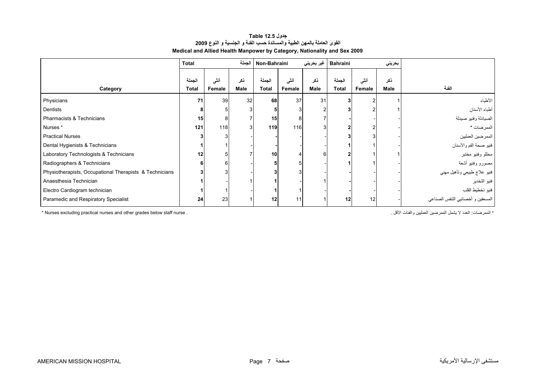| جدول Table 12.5                                                          |
|--------------------------------------------------------------------------|
| القوى العاملة بالمهن الطبية والمساندة حسب الفنة و الجنسية و النوع 2009   |
| Medical and Allied Health Manpower by Category, Nationality and Sex 2009 |

<span id="page-5-0"></span>

|                                                         | Total                  |                |                    | Non-Bahraini           |                | غير بحريني  | <b>Bahraini</b> |                | بحريني      |                                   |
|---------------------------------------------------------|------------------------|----------------|--------------------|------------------------|----------------|-------------|-----------------|----------------|-------------|-----------------------------------|
| Category                                                | الجملة<br><b>Total</b> | أننى<br>Female | ذكر<br><b>Male</b> | الجملة<br><b>Total</b> | أنشى<br>Female | ذكر<br>Male | الجملة<br>Total | أنشى<br>Female | نكر<br>Male | الفئة                             |
| Physicians                                              | 71                     | 39             | 32                 | 68                     | 37             | 31          |                 |                |             | الأطباء                           |
| Dentists                                                |                        |                |                    |                        |                |             |                 |                |             | أطباء الأسنان                     |
| Pharmacists & Technicians                               | 15                     | 8              |                    | 15                     | 8              |             |                 |                |             | الصيادلة وفنيو صيدلة              |
| Nurses*                                                 | 121                    | 118            | 3                  | 119                    | 116            |             |                 |                |             | الممرضات *                        |
| <b>Practical Nurses</b>                                 |                        |                |                    |                        |                |             |                 |                |             | ا الممرضين العمليين               |
| Dental Hygienists & Technicians                         |                        |                |                    |                        |                |             |                 |                |             | فنيو صحة الفم والأسنان            |
| Laboratory Technologists & Technicians                  | 12                     |                |                    | 10                     |                |             |                 |                |             | محللو وفنيو مختبر                 |
| Radiographers & Technicians                             | 6                      | 6              |                    |                        |                |             |                 |                |             | مصورو وفنيو أشعة                  |
| Physiotherapists, Occupational Therapists & Technicians | 3                      |                |                    |                        |                |             |                 |                |             | فنيو علاج طبيعي وتأهيل مهني       |
| Anaesthesia Technician                                  |                        |                |                    |                        |                |             |                 |                |             | فنيو التخدير                      |
| Electro Cardiogram technician                           |                        |                |                    |                        |                |             |                 |                |             | فنيو تخطيط القلب                  |
| Paramedic and Respiratory Specialist                    | 24                     | 23             |                    | 12                     | 11             |             | 12              | 12             |             | المسعفين و أخصائيي الننفس الصناعي |

\* Nurses excluding practical nurses and other grades below staff nurse . . الأقل والفئات العمليين الممرضين يشمل لا العدد :الممرضات\*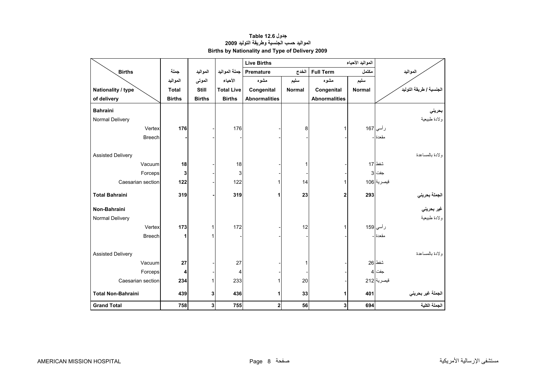<span id="page-6-0"></span>

|                           |               |                |                   | <b>Live Births</b>   |               |                         |        |                         |
|---------------------------|---------------|----------------|-------------------|----------------------|---------------|-------------------------|--------|-------------------------|
| <b>Births</b>             | جملة          | المواليد       | جملة المواليد     | <b>Premature</b>     | الخدج         | <b>Full Term</b>        | مكتمل  | المواليد                |
|                           | المواليد      | الموتى         | الأحياء           | مشوه                 | سليم          | مشوه                    | سليم   |                         |
| Nationality / type        | <b>Total</b>  | Still          | <b>Total Live</b> | Congenital           | <b>Normal</b> | Congenital              | Normal | الجنسية / طريقة التوليد |
| of delivery               | <b>Births</b> | <b>Births</b>  | <b>Births</b>     | <b>Abnormalities</b> |               | <b>Abnormalities</b>    |        |                         |
| <b>Bahraini</b>           |               |                |                   |                      |               |                         |        | بحريني                  |
| Normal Delivery           |               |                |                   |                      |               |                         |        | ولادة طبيعية            |
| Vertex                    | 176           |                | 176               |                      | 8             |                         |        | رأسي 167                |
| <b>Breech</b>             |               |                |                   |                      |               |                         |        | مقعدة ا-                |
|                           |               |                |                   |                      |               |                         |        |                         |
| <b>Assisted Delivery</b>  |               |                |                   |                      |               |                         |        | ولادة بالمساعدة         |
| Vacuum                    | 18            |                | 18                |                      | 1             |                         |        | شفط 17                  |
| Forceps                   | 3             |                | 3                 |                      |               |                         |        | جفت 3                   |
| Caesarian section         | 122           |                | 122               | 1                    | 14            |                         |        | قيصرية 106              |
| <b>Total Bahraini</b>     | 319           |                | 319               | 1                    | 23            | 2                       | 293    |                         |
|                           |               |                |                   |                      |               |                         |        | الجملة بحرين <i>ي</i>   |
| Non-Bahraini              |               |                |                   |                      |               |                         |        | غير بحرين <i>ي</i>      |
| Normal Delivery           |               |                |                   |                      |               |                         |        | ولادة طبيعية            |
| Vertex                    | 173           | 1              | 172               |                      | 12            |                         |        | رأسي 159                |
| <b>Breech</b>             |               |                |                   |                      |               |                         |        | مقعدة ا ـ               |
|                           |               |                |                   |                      |               |                         |        |                         |
| <b>Assisted Delivery</b>  |               |                |                   |                      |               |                         |        | ولادة بالمساعدة         |
| Vacuum                    | 27            |                | 27                |                      | 1             |                         |        | شفط 26                  |
| Forceps                   | 4             |                | 4                 |                      |               |                         |        | جفت  4                  |
| Caesarian section         | 234           |                | 233               | 1                    | 20            |                         |        | قيصرية 212              |
| <b>Total Non-Bahraini</b> | 439           | 3              | 436               | 1                    | 33            | 1                       | 401    | الجملة غير بحريني       |
| <b>Grand Total</b>        | 758           | 3 <sup>1</sup> | 755               | $\mathbf 2$          | 56            | $\overline{\mathbf{3}}$ | 694    | الجملة الكلية           |

## **جدول 12.6 Table المواليد حسب الجنسية وطريقة التوليد <sup>2009</sup> Births by Nationality and Type of Delivery 2009**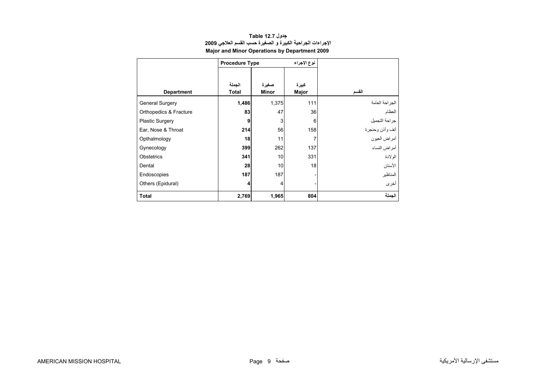<span id="page-7-0"></span>

|                        | <b>Procedure Type</b>   |                | نوع الإجراء    |                 |
|------------------------|-------------------------|----------------|----------------|-----------------|
| <b>Department</b>      | الجملة<br><b>Total</b>  | صغيرة<br>Minor | كبيرة<br>Major | القسم           |
| <b>General Surgery</b> | 1,486                   | 1,375          | 111            | الجراحة العامة  |
| Orthopedics & Fracture | 83                      | 47             | 36             | العظام          |
| <b>Plastic Surgery</b> | 9                       | 3              | 6              | جراحة التجميل   |
| Ear, Nose & Throat     | 214                     | 56             | 158            | أنف وأذن وحنجرة |
| Opthalmology           | 18                      | 11             | 7              | أمراض العيون    |
| Gynecology             | 399                     | 262            | 137            | أمر اض النساء   |
| <b>Obstetrics</b>      | 341                     | 10             | 331            | الو لادة        |
| Dental                 | 28                      | 10             | 18             | الأسنان         |
| Endoscopies            | 187                     | 187            |                | المناظير        |
| Others (Epidural)      | $\overline{\mathbf{4}}$ | 4              |                | أخرى            |
| <b>Total</b>           | 2,769                   | 1,965          | 804            | الجملة          |

#### **جدول 12.7 Table الإجراءات الجراحية الكبيرة <sup>و</sup> الصغيرة حسب القسم العلاجي <sup>2009</sup> Major and Minor Operations by Department 2009**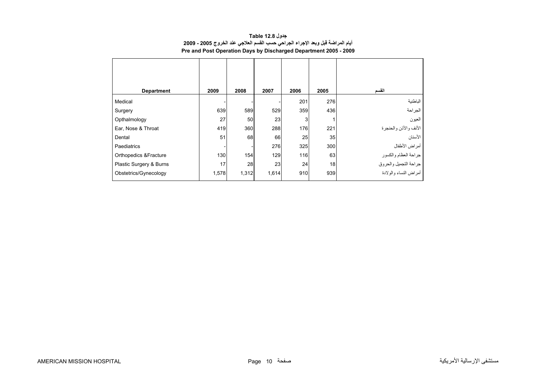<span id="page-8-0"></span>

| <b>Department</b>       | 2009  | 2008  | 2007  | 2006       | 2005 | القسم                                         |
|-------------------------|-------|-------|-------|------------|------|-----------------------------------------------|
| Medical                 |       |       |       | 201        | 276  | الباطنية                                      |
| Surgery                 | 639   | 589   | 529   | 359        | 436  | الجراحة                                       |
| Opthalmology            | 27    | 50    | 23    | 3          |      | العيون                                        |
| Ear, Nose & Throat      | 419   | 360   | 288   | <b>176</b> | 221  | الأنف والأذن والحنجرة                         |
| Dental                  | 51    | 68    | 66    | 25         | 35   | الأسنان                                       |
| Paediatrics             |       |       | 276   | 325        | 300  | أمراض الأطفال                                 |
| Orthopedics & Fracture  | 130   | 154   | 129   | 116        | 63   |                                               |
| Plastic Surgery & Burns | 17    | 28    | 23    | 24         | 18   | جراحة العظام والكسور<br>جراحة التجميل والحروق |
| Obstetrics/Gynecology   | 1,578 | 1,312 | 1,614 | 910        | 939  | س<br>أمراض النساء والولادة                    |

**جدول 12.8 Table أيام المراضة قبل وبعد الإجراء الجراحي حسب القسم العلاجي عند الخروج 2005 - 2009 Pre and Post Operation Days by Discharged Department 2005 - 2009**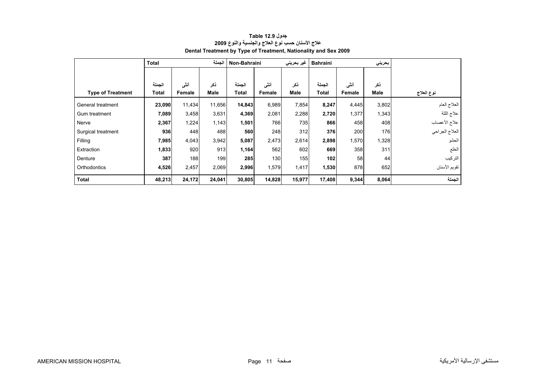<span id="page-9-0"></span>

|                          | <b>Total</b> |        | الجملة | Non-Bahraini |        | غیر بحرینی | <b>Bahraini</b> |        | بحريني      |                |
|--------------------------|--------------|--------|--------|--------------|--------|------------|-----------------|--------|-------------|----------------|
|                          |              |        |        |              |        |            |                 |        |             |                |
|                          | الجملة       | أننى   | ذكر    | الجملة       | أننى   | ذكر        | الجملة          | أنشى   | ذكر         |                |
| <b>Type of Treatment</b> | Total        | Female | Male   | <b>Total</b> | Female | Male       | Total           | Female | <b>Male</b> | نوع العلاج     |
| General treatment        | 23,090       | 11,434 | 11,656 | 14,843       | 6,989  | 7,854      | 8,247           | 4,445  | 3,802       | العلاج العام   |
| Gum treatment            | 7,089        | 3,458  | 3,631  | 4,369        | 2,081  | 2,288      | 2,720           | 1,377  | 1,343       | علاج اللثة     |
| Nerve                    | 2,367        | 1,224  | 1,143  | 1,501        | 766    | 735        | 866             | 458    | 408         | علاج الأعصاب   |
| Surgical treatment       | 936          | 448    | 488    | 560          | 248    | 312        | 376             | 200    | 176         | العلاج الجراحي |
| Filling                  | 7,985        | 4,043  | 3,942  | 5,087        | 2,473  | 2,614      | 2,898           | 1,570  | 1,328       | الحشو          |
| Extraction               | 1,833        | 920    | 913    | 1,164        | 562    | 602        | 669             | 358    | 311         | الخلع          |
| Denture                  | 387          | 188    | 199    | 285          | 130    | 155        | 102             | 58     | 44          | التركيب        |
| Orthodontics             | 4,526        | 2,457  | 2,069  | 2,996        | 1,579  | 1,417      | 1,530           | 878    | 652         | تقويم الأسنان  |
| <b>Total</b>             | 48,213       | 24,172 | 24,041 | 30,805       | 14,828 | 15,977     | 17,408          | 9,344  | 8,064       | الجملة         |

#### **جدول 12.9 Table علاج الأسنان حسب نوع العلاج والجنسية والنوع <sup>2009</sup> Dental Treatment by Type of Treatment, Nationality and Sex 2009**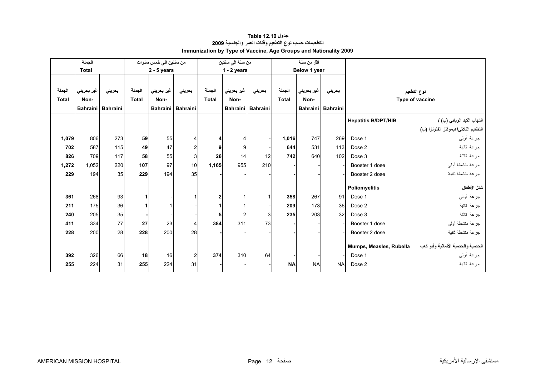<span id="page-10-0"></span>

|              | الجملة       |                   |              | من سنتين الى خمس سنوات |                     |                | من سنة الى سنتين |                   |              | أقل من سنة      |                 |                            |                                      |
|--------------|--------------|-------------------|--------------|------------------------|---------------------|----------------|------------------|-------------------|--------------|-----------------|-----------------|----------------------------|--------------------------------------|
|              | <b>Total</b> |                   |              | $2 - 5$ years          |                     |                | $1 - 2$ years    |                   |              | Below 1 year    |                 |                            |                                      |
|              |              |                   |              |                        |                     |                |                  |                   |              |                 |                 |                            |                                      |
| الجملة       | غير بحريني   | بحريني            | الجملة       | غير بحريني             | بحرينى              | الجملة         | غير بحريني       | بحرينى            | الجملة       | غير بحريني      | بحرينى          |                            | نوع التطعيم                          |
| <b>Total</b> | Non-         |                   | <b>Total</b> | Non-                   |                     | <b>Total</b>   | Non-             |                   | <b>Total</b> | Non-            |                 |                            | Type of vaccine                      |
|              |              | Bahraini Bahraini |              |                        | Bahraini   Bahraini |                |                  | Bahraini Bahraini |              | <b>Bahraini</b> | <b>Bahraini</b> |                            |                                      |
|              |              |                   |              |                        |                     |                |                  |                   |              |                 |                 | <b>Hepatitis B/DPT/HIB</b> | التهاب الكبد الوبائي (ب) /           |
|              |              |                   |              |                        |                     |                |                  |                   |              |                 |                 |                            | التطعيم الثلاثي/هيموفلز انفلونزا (ب) |
| 1,079        | 806          | 273               | 59           | 55                     | 4                   | 4              |                  |                   | 1,016        | 747             | 269             | Dose 1                     | جرعة أولىي                           |
| 702          | 587          | 115               | 49           | 47                     | $\overline{c}$      | 9              | 9                |                   | 644          | 531             | 113             | Dose 2                     | جرعة ثانية                           |
| 826          | 709          | 117               | 58           | 55                     | 3                   | 26             | 14               | 12                | 742          | 640             | 102             | Dose 3                     | جرعة ثالثة                           |
| 1,272        | 1,052        | 220               | 107          | 97                     | 10                  | 1,165          | 955              | 210               |              |                 |                 | Booster 1 dose             | جرعة منشطة أولىي                     |
| 229          | 194          | 35                | 229          | 194                    | 35                  |                |                  |                   |              |                 |                 | Booster 2 dose             | جرعة منشطة ثانية                     |
|              |              |                   |              |                        |                     |                |                  |                   |              |                 |                 |                            | شلل الأطفال                          |
|              |              |                   |              |                        |                     |                |                  |                   |              |                 |                 | <b>Poliomyelitis</b>       |                                      |
| 361          | 268          | 93                | 1            |                        |                     | $\overline{2}$ |                  | $\mathbf{1}$      | 358          | 267             | 91              | Dose 1                     | جرعة أولىي                           |
| 211          | 175          | 36                | 1            |                        |                     |                |                  |                   | 209          | 173             | 36              | Dose 2                     | جرعة ثانية                           |
| 240          | 205          | 35                |              |                        |                     | 5              | $\overline{2}$   | 3                 | 235          | 203             | 32              | Dose 3                     | جرعة ثالثة                           |
| 411          | 334          | 77                | 27           | 23                     | 4                   | 384            | 311              | 73                |              |                 |                 | Booster 1 dose             | جرعة منشطة أولىي                     |
| 228          | 200          | 28                | 228          | 200                    | 28                  |                |                  |                   |              |                 |                 | Booster 2 dose             | جر عة منشطة ثانبة                    |
|              |              |                   |              |                        |                     |                |                  |                   |              |                 |                 | Mumps, Measles, Rubella    | الحصبة والحصبة الألمانية وأبو كعب    |
| 392          | 326          | 66                | 18           | 16                     | $\overline{c}$      | 374            | 310              | 64                |              |                 |                 | Dose 1                     | جرعة أولىي                           |
| 255          | 224          | 31                | 255          | 224                    | 31                  |                |                  |                   | <b>NA</b>    | <b>NA</b>       | <b>NAI</b>      | Dose 2                     | جرعة ثانية                           |
|              |              |                   |              |                        |                     |                |                  |                   |              |                 |                 |                            |                                      |

#### **جدول 12.10 Table التطعيمات حسب نوع التطعيم وفئات العمر والجنسية <sup>2009</sup> Immunization by Type of Vaccine, Age Groups and Nationality 2009**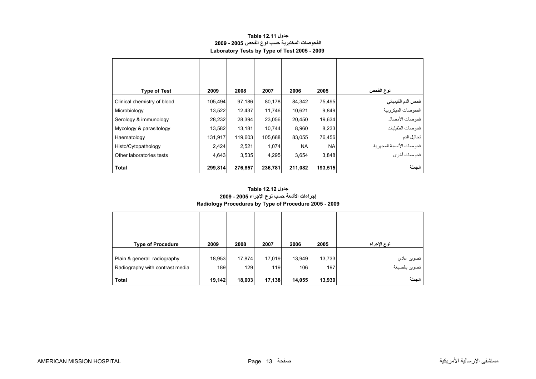<span id="page-11-0"></span>

| <b>Type of Test</b>         | 2009    | 2008    | 2007    | 2006      | 2005      | نوع الفحص               |
|-----------------------------|---------|---------|---------|-----------|-----------|-------------------------|
| Clinical chemistry of blood | 105,494 | 97,186  | 80,178  | 84,342    | 75,495    | فحص الدم الكيميائي      |
| Microbiology                | 13,522  | 12,437  | 11.746  | 10,621    | 9,849     | الفحوصات الميكروبية     |
| Serology & immunology       | 28,232  | 28,394  | 23,056  | 20,450    | 19,634    | فحوصات الأمصال          |
| Mycology & parasitology     | 13,582  | 13,181  | 10,744  | 8,960     | 8,233     | فحوصات الطفيليات        |
| Haematology                 | 131,917 | 119,603 | 105,688 | 83,055    | 76,456    | تحاليل الدم             |
| Histo/Cytopathology         | 2,424   | 2,521   | 1,074   | <b>NA</b> | <b>NA</b> | فحوصات الأنسجة المجهرية |
| Other laboratories tests    | 4,643   | 3,535   | 4,295   | 3,654     | 3,848     | ۔<br>فحوصات أخرى        |
| <b>Total</b>                | 299,814 | 276,857 | 236,781 | 211,082   | 193,515   | الجملة                  |

#### **جدول 12.11 Table الفحوصات المختبرية حسب نوع الفحص 2005 - 2009 Laboratory Tests by Type of Test 2005 - 2009**

## **إجراءات الأشعة حسب نوع الإجراء 2005 - 2009 Radiology Procedures by Type of Procedure 2005 - 2009 جدول 12.12 Table**

| <b>Type of Procedure</b>                                       | 2009          | 2008          | 2007          | 2006          | 2005          | نوع الإجراء                        |
|----------------------------------------------------------------|---------------|---------------|---------------|---------------|---------------|------------------------------------|
| Plain & general radiography<br>Radiography with contrast media | 18,953<br>189 | 17,874<br>129 | 17,019<br>119 | 13,949<br>106 | 13,733<br>197 | تصوير عادي<br> <br>  تصوير بالصبغة |
| <b>Total</b>                                                   | 19,142        | 18,003        | 17,138        | 14,055        | 13,930        | الحملة                             |